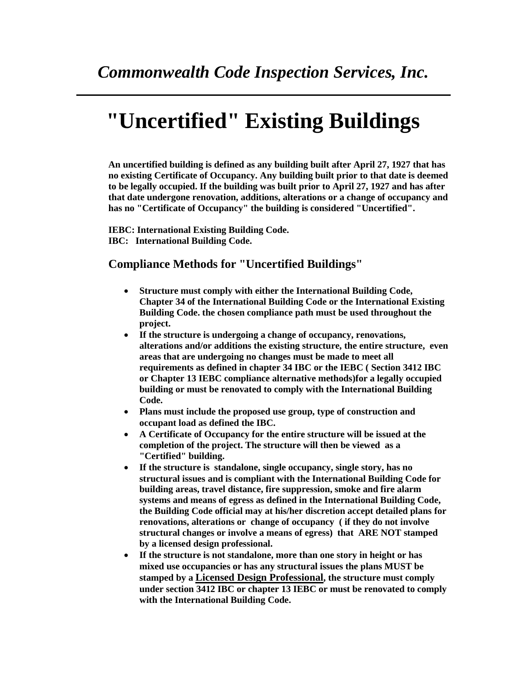## **"Uncertified" Existing Buildings**

**An uncertified building is defined as any building built after April 27, 1927 that has no existing Certificate of Occupancy. Any building built prior to that date is deemed to be legally occupied. If the building was built prior to April 27, 1927 and has after that date undergone renovation, additions, alterations or a change of occupancy and has no "Certificate of Occupancy" the building is considered "Uncertified".**

**IEBC: International Existing Building Code. IBC: International Building Code.**

## **Compliance Methods for "Uncertified Buildings"**

- **Structure must comply with either the International Building Code, Chapter 34 of the International Building Code or the International Existing Building Code. the chosen compliance path must be used throughout the project.**
- **If the structure is undergoing a change of occupancy, renovations, alterations and/or additions the existing structure, the entire structure, even areas that are undergoing no changes must be made to meet all requirements as defined in chapter 34 IBC or the IEBC ( Section 3412 IBC or Chapter 13 IEBC compliance alternative methods)for a legally occupied building or must be renovated to comply with the International Building Code.**
- **Plans must include the proposed use group, type of construction and occupant load as defined the IBC.**
- **A Certificate of Occupancy for the entire structure will be issued at the completion of the project. The structure will then be viewed as a "Certified" building.**
- **If the structure is standalone, single occupancy, single story, has no structural issues and is compliant with the International Building Code for building areas, travel distance, fire suppression, smoke and fire alarm systems and means of egress as defined in the International Building Code, the Building Code official may at his/her discretion accept detailed plans for renovations, alterations or change of occupancy ( if they do not involve structural changes or involve a means of egress) that ARE NOT stamped by a licensed design professional.**
- **If the structure is not standalone, more than one story in height or has mixed use occupancies or has any structural issues the plans MUST be stamped by a Licensed Design Professional, the structure must comply under section 3412 IBC or chapter 13 IEBC or must be renovated to comply with the International Building Code.**